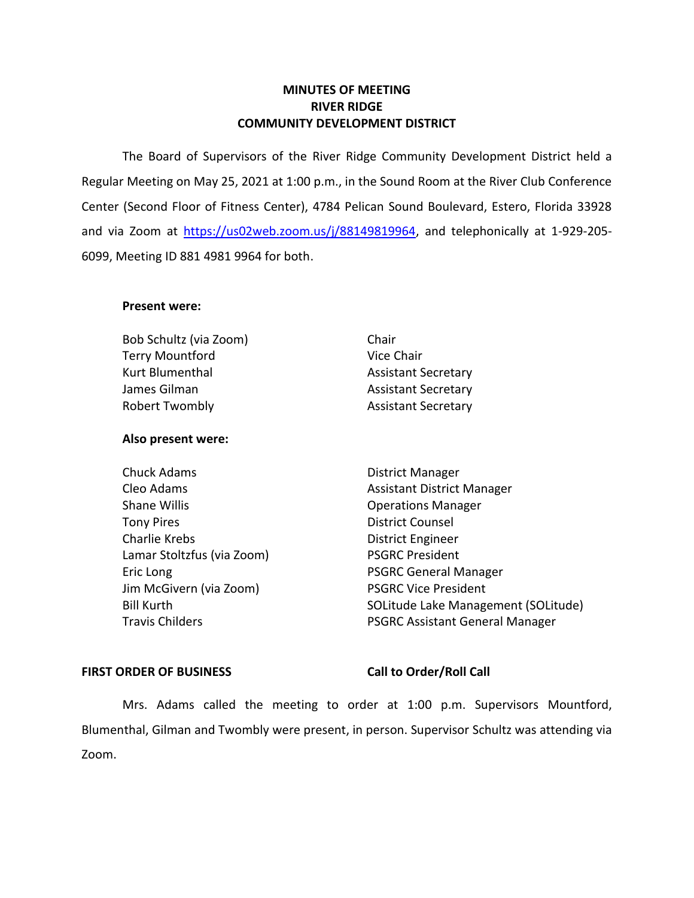## **MINUTES OF MEETING RIVER RIDGE COMMUNITY DEVELOPMENT DISTRICT**

 The Board of Supervisors of the River Ridge Community Development District held a Regular Meeting on May 25, 2021 at 1:00 p.m., in the Sound Room at the River Club Conference Center (Second Floor of Fitness Center), 4784 Pelican Sound Boulevard, Estero, Florida 33928 and via Zoom at [https://us02web.zoom.us/j/88149819964,](https://us02web.zoom.us/j/88149819964) and telephonically at 1-929-205-6099, Meeting ID 881 4981 9964 for both.

### **Present were:**

Bob Schultz (via Zoom) Chair Terry Mountford Vice Chair Kurt Blumenthal **Assistant Secretary** James Gilman Assistant Secretary Robert Twombly **Assistant Secretary** 

# **Also present were:**

- Eric Long **PSGRC** General Manager Chuck Adams **District Manager** Shane Willis **Shane Willis Conserversity Operations Manager** Tony Pires **District Counsel** Charlie Krebs District Engineer Lamar Stoltzfus (via Zoom) PSGRC President Jim McGivern (via Zoom) PSGRC Vice President
- 
- Travis Childers **PSGRC Assistant General Manager** Cleo Adams **Assistant District Manager** Assistant District Manager Bill Kurth SOLITUDE SOLITUDE Lake Management (SOLITUDE)

### FIRST ORDER OF BUSINESS Call to Order/Roll Call

 Mrs. Adams called the meeting to order at 1:00 p.m. Supervisors Mountford, Blumenthal, Gilman and Twombly were present, in person. Supervisor Schultz was attending via Zoom.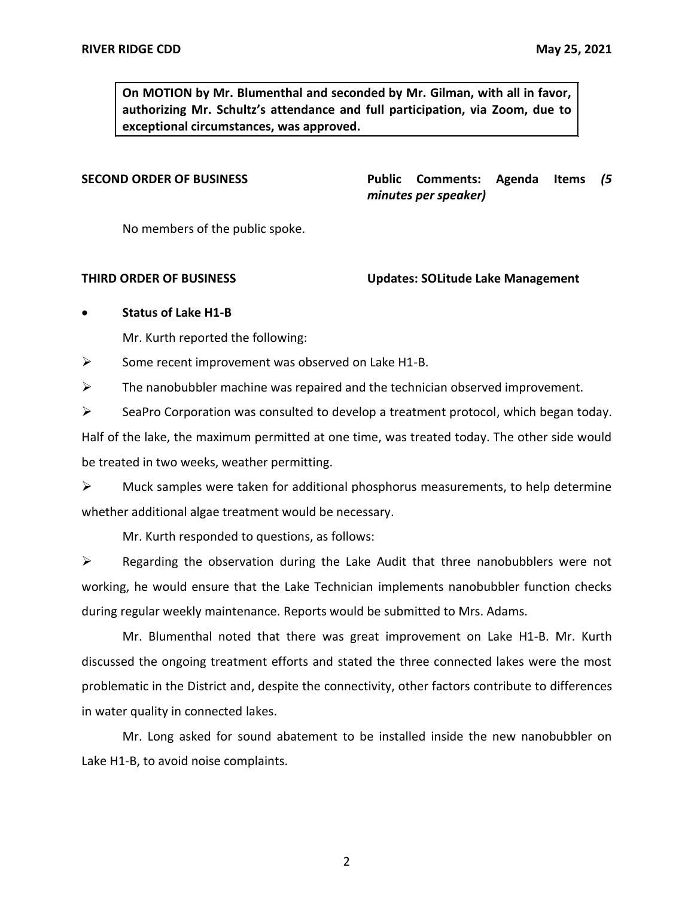**On MOTION by Mr. Blumenthal and seconded by Mr. Gilman, with all in favor, authorizing Mr. Schultz's attendance and full participation, via Zoom, due to exceptional circumstances, was approved.** 

**Public Comments: SECOND ORDER OF BUSINESS Public Comments: Agenda Items** *(5 minutes per speaker)* 

No members of the public spoke.

 **THIRD ORDER OF BUSINESS Updates: SOLitude Lake Management** 

## • **Status of Lake H1-B**

Mr. Kurth reported the following:

➢ Some recent improvement was observed on Lake H1-B.

 $\triangleright$  The nanobubbler machine was repaired and the technician observed improvement.

 $\triangleright$  SeaPro Corporation was consulted to develop a treatment protocol, which began today. Half of the lake, the maximum permitted at one time, was treated today. The other side would be treated in two weeks, weather permitting.

 $\triangleright$  Muck samples were taken for additional phosphorus measurements, to help determine whether additional algae treatment would be necessary.

Mr. Kurth responded to questions, as follows:

 $\triangleright$  Regarding the observation during the Lake Audit that three nanobubblers were not working, he would ensure that the Lake Technician implements nanobubbler function checks during regular weekly maintenance. Reports would be submitted to Mrs. Adams.

 Mr. Blumenthal noted that there was great improvement on Lake H1-B. Mr. Kurth discussed the ongoing treatment efforts and stated the three connected lakes were the most problematic in the District and, despite the connectivity, other factors contribute to differences in water quality in connected lakes.

 Mr. Long asked for sound abatement to be installed inside the new nanobubbler on Lake H1-B, to avoid noise complaints.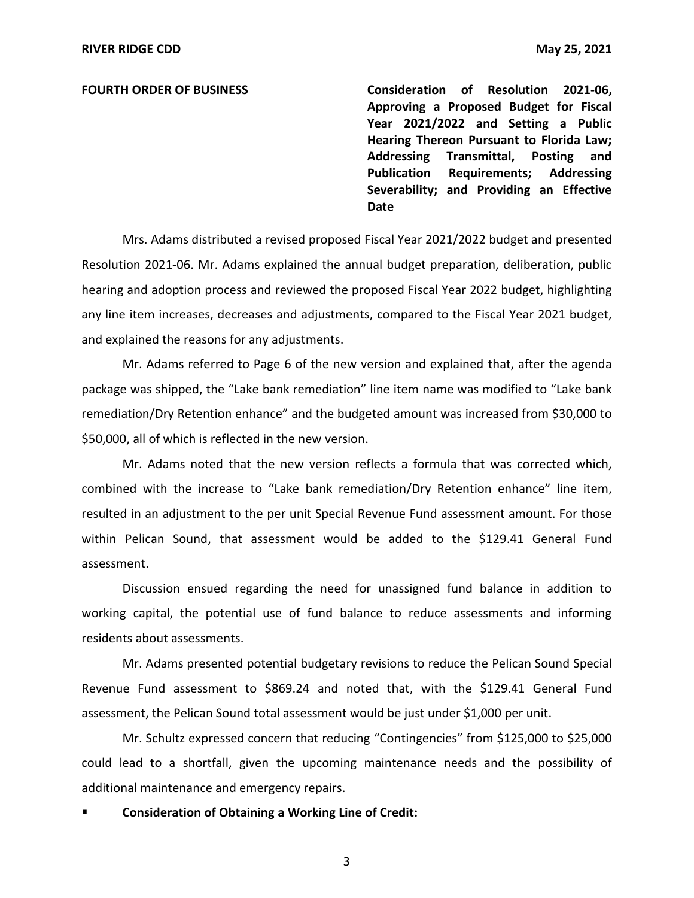**Approving a Proposed Budget for Fiscal Year 2021/2022 and Setting a Public Hearing Thereon Pursuant to Florida Law; Addressing Transmittal, Posting and Severability; and Providing an Effective FOURTH ORDER OF BUSINESS Consideration of Resolution 2021-06, Publication Requirements; Addressing Date** 

 Mrs. Adams distributed a revised proposed Fiscal Year 2021/2022 budget and presented hearing and adoption process and reviewed the proposed Fiscal Year 2022 budget, highlighting any line item increases, decreases and adjustments, compared to the Fiscal Year 2021 budget, and explained the reasons for any adjustments. Resolution 2021-06. Mr. Adams explained the annual budget preparation, deliberation, public

 Mr. Adams referred to Page 6 of the new version and explained that, after the agenda remediation/Dry Retention enhance" and the budgeted amount was increased from \$30,000 to \$50,000, all of which is reflected in the new version. package was shipped, the "Lake bank remediation" line item name was modified to "Lake bank

 Mr. Adams noted that the new version reflects a formula that was corrected which, combined with the increase to "Lake bank remediation/Dry Retention enhance" line item, resulted in an adjustment to the per unit Special Revenue Fund assessment amount. For those within Pelican Sound, that assessment would be added to the \$129.41 General Fund assessment.

 Discussion ensued regarding the need for unassigned fund balance in addition to working capital, the potential use of fund balance to reduce assessments and informing residents about assessments.

 Revenue Fund assessment to \$869.24 and noted that, with the \$129.41 General Fund assessment, the Pelican Sound total assessment would be just under \$1,000 per unit. Mr. Adams presented potential budgetary revisions to reduce the Pelican Sound Special

 Mr. Schultz expressed concern that reducing "Contingencies" from \$125,000 to \$25,000 could lead to a shortfall, given the upcoming maintenance needs and the possibility of additional maintenance and emergency repairs.

 ▪ **Consideration of Obtaining a Working Line of Credit:**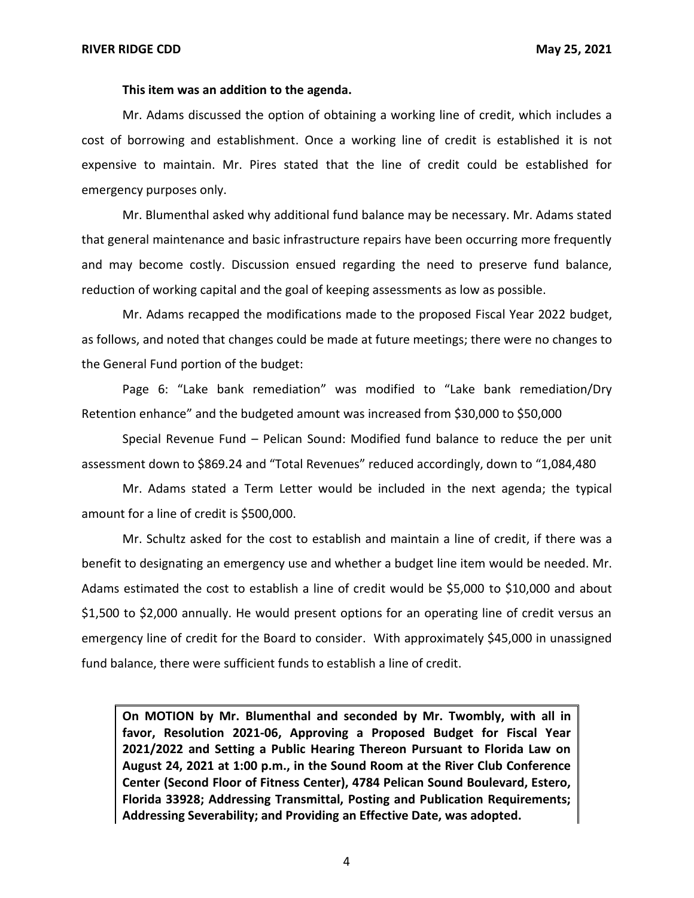### **This item was an addition to the agenda.**

 Mr. Adams discussed the option of obtaining a working line of credit, which includes a cost of borrowing and establishment. Once a working line of credit is established it is not expensive to maintain. Mr. Pires stated that the line of credit could be established for emergency purposes only.

 that general maintenance and basic infrastructure repairs have been occurring more frequently and may become costly. Discussion ensued regarding the need to preserve fund balance, reduction of working capital and the goal of keeping assessments as low as possible. Mr. Blumenthal asked why additional fund balance may be necessary. Mr. Adams stated

 Mr. Adams recapped the modifications made to the proposed Fiscal Year 2022 budget, as follows, and noted that changes could be made at future meetings; there were no changes to the General Fund portion of the budget:

 Retention enhance" and the budgeted amount was increased from \$30,000 to \$50,000 Page 6: "Lake bank remediation" was modified to "Lake bank remediation/Dry

 Special Revenue Fund – Pelican Sound: Modified fund balance to reduce the per unit assessment down to \$869.24 and "Total Revenues" reduced accordingly, down to "1,084,480

 Mr. Adams stated a Term Letter would be included in the next agenda; the typical amount for a line of credit is \$500,000.

 Mr. Schultz asked for the cost to establish and maintain a line of credit, if there was a benefit to designating an emergency use and whether a budget line item would be needed. Mr. Adams estimated the cost to establish a line of credit would be \$5,000 to \$10,000 and about \$1,500 to \$2,000 annually. He would present options for an operating line of credit versus an emergency line of credit for the Board to consider. With approximately \$45,000 in unassigned fund balance, there were sufficient funds to establish a line of credit.

 **On MOTION by Mr. Blumenthal and seconded by Mr. Twombly, with all in favor, Resolution 2021-06, Approving a Proposed Budget for Fiscal Year 2021/2022 and Setting a Public Hearing Thereon Pursuant to Florida Law on August 24, 2021 at 1:00 p.m., in the Sound Room at the River Club Conference Center (Second Floor of Fitness Center), 4784 Pelican Sound Boulevard, Estero, Florida 33928; Addressing Transmittal, Posting and Publication Requirements; Addressing Severability; and Providing an Effective Date, was adopted.**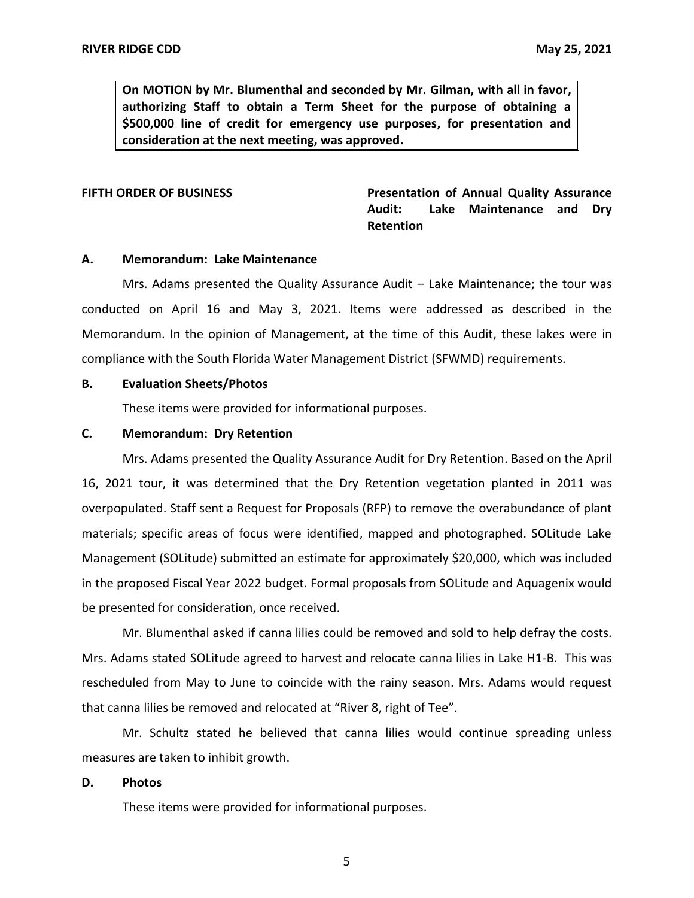**On MOTION by Mr. Blumenthal and seconded by Mr. Gilman, with all in favor, authorizing Staff to obtain a Term Sheet for the purpose of obtaining a \$500,000 line of credit for emergency use purposes, for presentation and consideration at the next meeting, was approved.** 

FIFTH ORDER OF BUSINESS **The State of Annual Quality Assurance** Audit: Lake Maintenance and Dry **Retention** 

### **A. Memorandum: Lake Maintenance**

 conducted on April 16 and May 3, 2021. Items were addressed as described in the Memorandum. In the opinion of Management, at the time of this Audit, these lakes were in compliance with the South Florida Water Management District (SFWMD) requirements. Mrs. Adams presented the Quality Assurance Audit – Lake Maintenance; the tour was

### **B. Evaluation Sheets/Photos**

These items were provided for informational purposes.

### **C. Memorandum: Dry Retention**

 16, 2021 tour, it was determined that the Dry Retention vegetation planted in 2011 was overpopulated. Staff sent a Request for Proposals (RFP) to remove the overabundance of plant materials; specific areas of focus were identified, mapped and photographed. SOLitude Lake Management (SOLitude) submitted an estimate for approximately \$20,000, which was included in the proposed Fiscal Year 2022 budget. Formal proposals from SOLitude and Aquagenix would be presented for consideration, once received. Mrs. Adams presented the Quality Assurance Audit for Dry Retention. Based on the April

 Mr. Blumenthal asked if canna lilies could be removed and sold to help defray the costs. Mrs. Adams stated SOLitude agreed to harvest and relocate canna lilies in Lake H1-B. This was rescheduled from May to June to coincide with the rainy season. Mrs. Adams would request that canna lilies be removed and relocated at "River 8, right of Tee".

 Mr. Schultz stated he believed that canna lilies would continue spreading unless measures are taken to inhibit growth.

### **D. Photos**

These items were provided for informational purposes.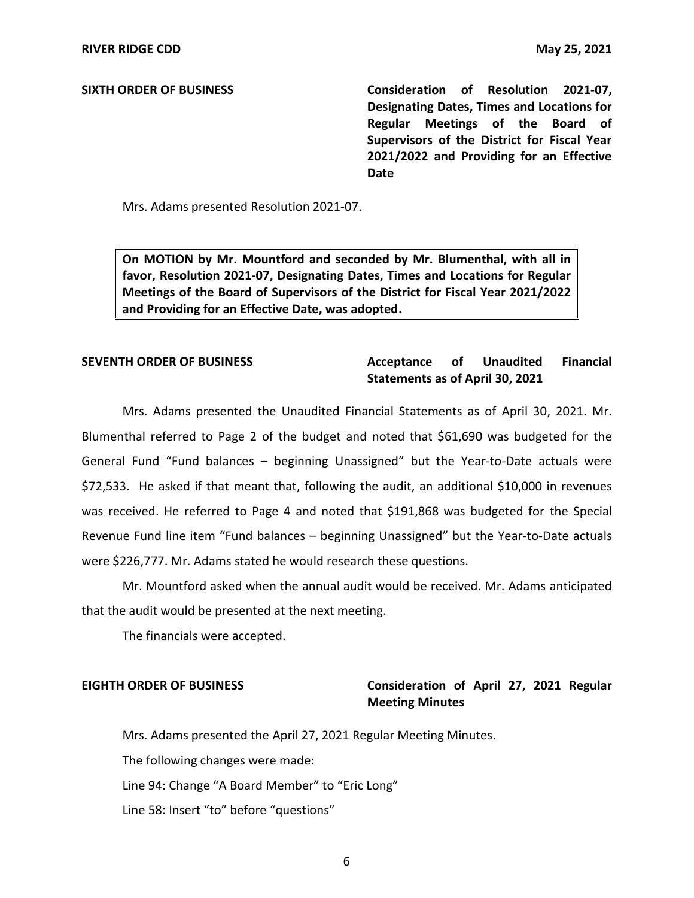**Designating Dates, Times and Locations for Regular Meetings of the Board of Supervisors of the District for Fiscal Year 2021/2022 and Providing for an Effective SIXTH ORDER OF BUSINESS Consideration of Resolution 2021-07, Date** 

Mrs. Adams presented Resolution 2021-07.

 **On MOTION by Mr. Mountford and seconded by Mr. Blumenthal, with all in favor, Resolution 2021-07, Designating Dates, Times and Locations for Regular Meetings of the Board of Supervisors of the District for Fiscal Year 2021/2022 and Providing for an Effective Date, was adopted.** 

### **Acceptance Statements as of April 30, 2021 SEVENTH ORDER OF BUSINESS Acceptance of Unaudited Financial**

 Mrs. Adams presented the Unaudited Financial Statements as of April 30, 2021. Mr. Blumenthal referred to Page 2 of the budget and noted that \$61,690 was budgeted for the General Fund "Fund balances – beginning Unassigned" but the Year-to-Date actuals were \$72,533. He asked if that meant that, following the audit, an additional \$10,000 in revenues was received. He referred to Page 4 and noted that \$191,868 was budgeted for the Special Revenue Fund line item "Fund balances – beginning Unassigned" but the Year-to-Date actuals were \$226,777. Mr. Adams stated he would research these questions.

 Mr. Mountford asked when the annual audit would be received. Mr. Adams anticipated that the audit would be presented at the next meeting.

The financials were accepted.

## **EIGHTH ORDER OF BUSINESS Consideration of April 27, 2021 Regular Meeting Minutes**

 Mrs. Adams presented the April 27, 2021 Regular Meeting Minutes. The following changes were made: Line 94: Change "A Board Member" to "Eric Long" Line 58: Insert "to" before "questions"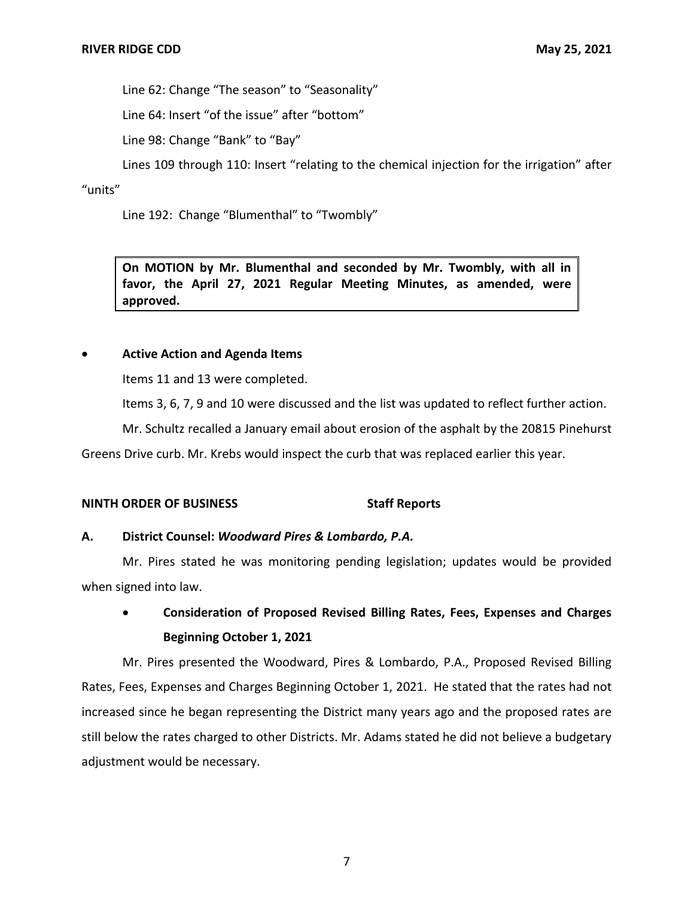Line 62: Change "The season" to "Seasonality"

Line 64: Insert "of the issue" after "bottom"

Line 98: Change "Bank" to "Bay"

Lines 109 through 110: Insert "relating to the chemical injection for the irrigation" after

"units"

Line 192: Change "Blumenthal" to "Twombly"

 **On MOTION by Mr. Blumenthal and seconded by Mr. Twombly, with all in favor, the April 27, 2021 Regular Meeting Minutes, as amended, were approved.** 

## • **Active Action and Agenda Items**

Items 11 and 13 were completed.

Items 3, 6, 7, 9 and 10 were discussed and the list was updated to reflect further action.

Mr. Schultz recalled a January email about erosion of the asphalt by the 20815 Pinehurst

Greens Drive curb. Mr. Krebs would inspect the curb that was replaced earlier this year.

## **NINTH ORDER OF BUSINESS STATES STAFF Reports**

## **A. District Counsel:** *Woodward Pires & Lombardo, P.A.*

 Mr. Pires stated he was monitoring pending legislation; updates would be provided when signed into law.

# • **Consideration of Proposed Revised Billing Rates, Fees, Expenses and Charges Beginning October 1, 2021**

 Mr. Pires presented the Woodward, Pires & Lombardo, P.A., Proposed Revised Billing Rates, Fees, Expenses and Charges Beginning October 1, 2021. He stated that the rates had not increased since he began representing the District many years ago and the proposed rates are still below the rates charged to other Districts. Mr. Adams stated he did not believe a budgetary adjustment would be necessary.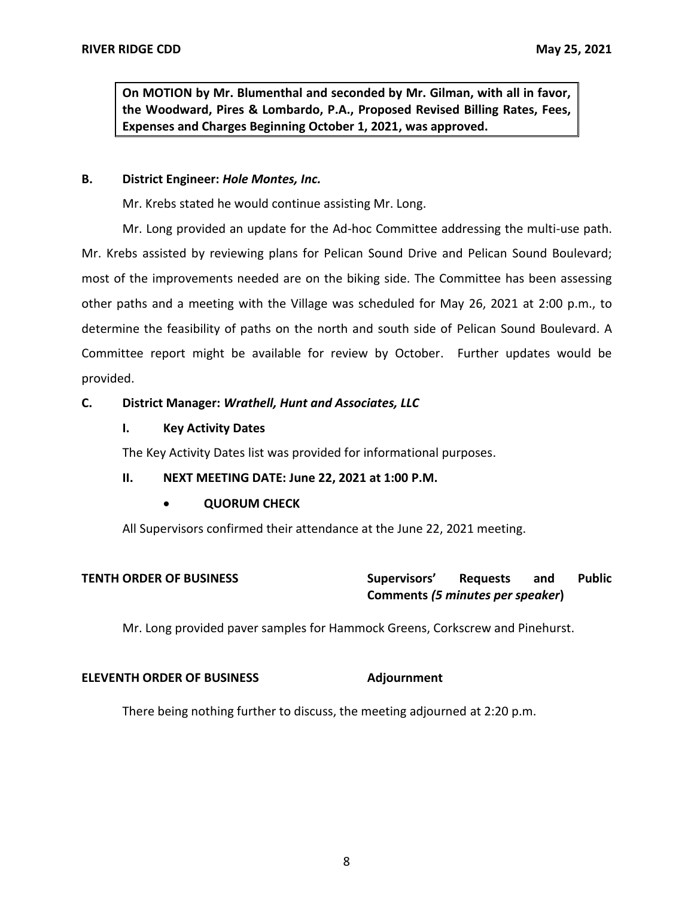**On MOTION by Mr. Blumenthal and seconded by Mr. Gilman, with all in favor, the Woodward, Pires & Lombardo, P.A., Proposed Revised Billing Rates, Fees, Expenses and Charges Beginning October 1, 2021, was approved.** 

### **B. District Engineer:** *Hole Montes, Inc.*

Mr. Krebs stated he would continue assisting Mr. Long.

 Mr. Long provided an update for the Ad-hoc Committee addressing the multi-use path. Mr. Krebs assisted by reviewing plans for Pelican Sound Drive and Pelican Sound Boulevard; most of the improvements needed are on the biking side. The Committee has been assessing other paths and a meeting with the Village was scheduled for May 26, 2021 at 2:00 p.m., to determine the feasibility of paths on the north and south side of Pelican Sound Boulevard. A Committee report might be available for review by October. Further updates would be provided.

## **C. District Manager:** *Wrathell, Hunt and Associates, LLC*

### **I. Key Activity Dates**

The Key Activity Dates list was provided for informational purposes.

### **II. NEXT MEETING DATE: June 22, 2021 at 1:00 P.M.**

## • **QUORUM CHECK**

All Supervisors confirmed their attendance at the June 22, 2021 meeting.

| <b>TENTH ORDER OF BUSINESS</b> | Supervisors'                     | <b>Requests</b> | and | <b>Public</b> |
|--------------------------------|----------------------------------|-----------------|-----|---------------|
|                                | Comments (5 minutes per speaker) |                 |     |               |

Mr. Long provided paver samples for Hammock Greens, Corkscrew and Pinehurst.

### **ELEVENTH ORDER OF BUSINESS Adjournment**

There being nothing further to discuss, the meeting adjourned at 2:20 p.m.